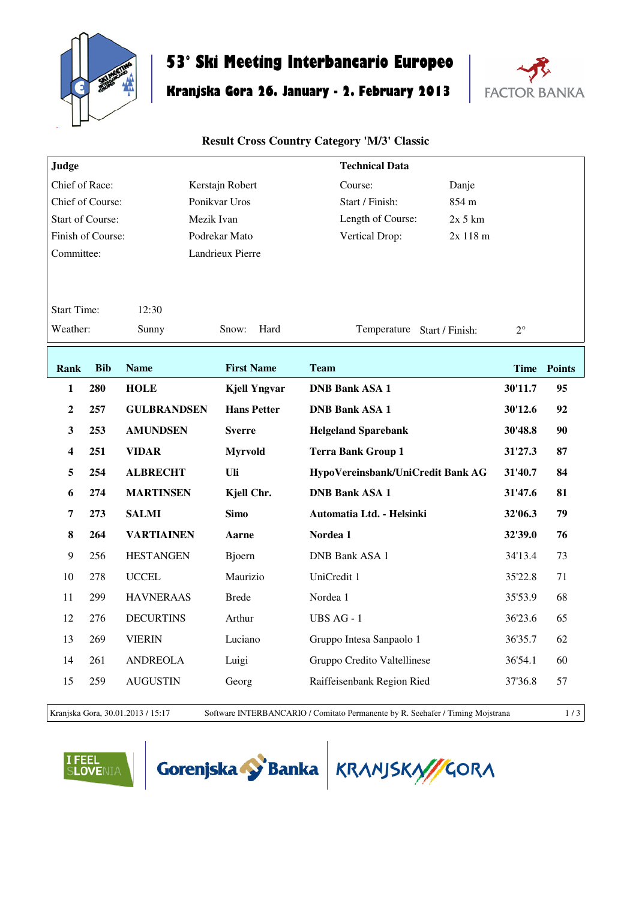

# **53° Ski Meeting Interbancario Europeo**

# **Kranjska Gora 26. January - 2. February 2013**



#### **Result Cross Country Category 'M/3' Classic**

| Judge                       |            |                    |                     | <b>Technical Data</b>             |             |             |
|-----------------------------|------------|--------------------|---------------------|-----------------------------------|-------------|-------------|
| Chief of Race:              |            |                    | Kerstajn Robert     | Course:<br>Danje                  |             |             |
| Chief of Course:            |            |                    | Ponikvar Uros       | Start / Finish:<br>854 m          |             |             |
| <b>Start of Course:</b>     |            |                    | Mezik Ivan          | Length of Course:                 | $2x$ 5 km   |             |
| Finish of Course:           |            |                    | Podrekar Mato       | Vertical Drop:                    | 2x 118 m    |             |
| Committee:                  |            |                    | Landrieux Pierre    |                                   |             |             |
|                             |            |                    |                     |                                   |             |             |
|                             |            |                    |                     |                                   |             |             |
| <b>Start Time:</b><br>12:30 |            |                    |                     |                                   |             |             |
| Weather:                    |            | Sunny              | Snow:<br>Hard       | Temperature Start / Finish:       | $2^{\circ}$ |             |
|                             |            |                    |                     |                                   |             |             |
| <b>Rank</b>                 | <b>Bib</b> | <b>Name</b>        | <b>First Name</b>   | <b>Team</b>                       |             | Time Points |
| 1                           | 280        | <b>HOLE</b>        | <b>Kjell Yngvar</b> | <b>DNB Bank ASA 1</b>             | 30'11.7     | 95          |
| $\mathbf{2}$                | 257        | <b>GULBRANDSEN</b> | <b>Hans Petter</b>  | <b>DNB Bank ASA 1</b>             | 30'12.6     | 92          |
| 3                           | 253        | <b>AMUNDSEN</b>    | <b>Sverre</b>       | <b>Helgeland Sparebank</b>        | 30'48.8     | 90          |
| 4                           | 251        | <b>VIDAR</b>       | <b>Myrvold</b>      | <b>Terra Bank Group 1</b>         | 31'27.3     | 87          |
| 5                           | 254        | <b>ALBRECHT</b>    | Uli                 | HypoVereinsbank/UniCredit Bank AG | 31'40.7     | 84          |
| 6                           | 274        | <b>MARTINSEN</b>   | Kjell Chr.          | <b>DNB Bank ASA 1</b>             | 31'47.6     | 81          |
| 7                           | 273        | <b>SALMI</b>       | <b>Simo</b>         | Automatia Ltd. - Helsinki         | 32'06.3     | 79          |
| 8                           | 264        | <b>VARTIAINEN</b>  | Aarne               | Nordea 1                          | 32'39.0     | 76          |
| 9                           | 256        | <b>HESTANGEN</b>   | Bjoern              | <b>DNB Bank ASA 1</b>             | 34'13.4     | 73          |
| 10                          | 278        | <b>UCCEL</b>       | Maurizio            | UniCredit 1                       | 35'22.8     | 71          |
| 11                          | 299        | <b>HAVNERAAS</b>   | <b>Brede</b>        | Nordea 1                          | 35'53.9     | 68          |
| 12                          | 276        | <b>DECURTINS</b>   | Arthur              | UBS AG - 1                        | 36'23.6     | 65          |
| 13                          | 269        | <b>VIERIN</b>      | Luciano             | Gruppo Intesa Sanpaolo 1          | 36'35.7     | 62          |
| 14                          | 261        | <b>ANDREOLA</b>    | Luigi               | Gruppo Credito Valtellinese       | 36'54.1     | 60          |
| 15                          | 259        | <b>AUGUSTIN</b>    | Georg               | Raiffeisenbank Region Ried        | 37'36.8     | 57          |
|                             |            |                    |                     |                                   |             |             |

Kranjska Gora, 30.01.2013 / 15:17 Software INTERBANCARIO / Comitato Permanente by R. Seehafer / Timing Mojstrana 1 / 3





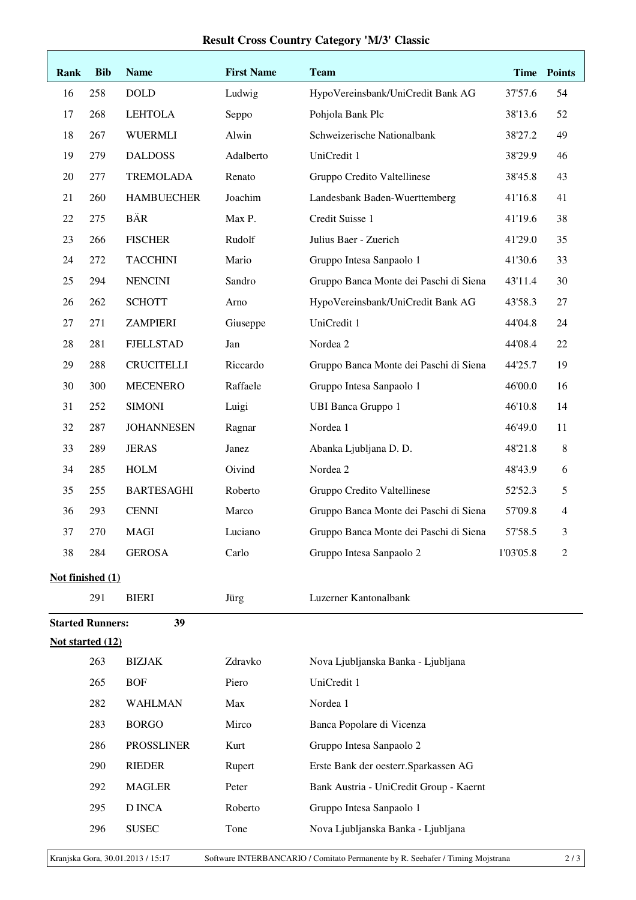## **Result Cross Country Category 'M/3' Classic**

| Rank                    | <b>Bib</b> | <b>Name</b>       | <b>First Name</b> | <b>Team</b>                             |           | Time Points |
|-------------------------|------------|-------------------|-------------------|-----------------------------------------|-----------|-------------|
| 16                      | 258        | <b>DOLD</b>       | Ludwig            | HypoVereinsbank/UniCredit Bank AG       | 37'57.6   | 54          |
| 17                      | 268        | <b>LEHTOLA</b>    | Seppo             | Pohjola Bank Plc                        | 38'13.6   | 52          |
| 18                      | 267        | <b>WUERMLI</b>    | Alwin             | Schweizerische Nationalbank             | 38'27.2   | 49          |
| 19                      | 279        | <b>DALDOSS</b>    | Adalberto         | UniCredit 1                             | 38'29.9   | 46          |
| 20                      | 277        | <b>TREMOLADA</b>  | Renato            | Gruppo Credito Valtellinese             | 38'45.8   | 43          |
| 21                      | 260        | <b>HAMBUECHER</b> | Joachim           | Landesbank Baden-Wuerttemberg           | 41'16.8   | 41          |
| 22                      | 275        | <b>BÄR</b>        | Max P.            | Credit Suisse 1                         | 41'19.6   | 38          |
| 23                      | 266        | <b>FISCHER</b>    | Rudolf            | Julius Baer - Zuerich                   | 41'29.0   | 35          |
| 24                      | 272        | <b>TACCHINI</b>   | Mario             | Gruppo Intesa Sanpaolo 1                | 41'30.6   | 33          |
| 25                      | 294        | <b>NENCINI</b>    | Sandro            | Gruppo Banca Monte dei Paschi di Siena  | 43'11.4   | 30          |
| 26                      | 262        | <b>SCHOTT</b>     | Arno              | HypoVereinsbank/UniCredit Bank AG       | 43'58.3   | 27          |
| 27                      | 271        | <b>ZAMPIERI</b>   | Giuseppe          | UniCredit 1                             | 44'04.8   | 24          |
| 28                      | 281        | <b>FJELLSTAD</b>  | Jan               | Nordea 2                                | 44'08.4   | $22\,$      |
| 29                      | 288        | <b>CRUCITELLI</b> | Riccardo          | Gruppo Banca Monte dei Paschi di Siena  | 44'25.7   | 19          |
| 30                      | 300        | <b>MECENERO</b>   | Raffaele          | Gruppo Intesa Sanpaolo 1                | 46'00.0   | 16          |
| 31                      | 252        | <b>SIMONI</b>     | Luigi             | <b>UBI Banca Gruppo 1</b>               | 46'10.8   | 14          |
| 32                      | 287        | <b>JOHANNESEN</b> | Ragnar            | Nordea 1                                | 46'49.0   | 11          |
| 33                      | 289        | <b>JERAS</b>      | Janez             | Abanka Ljubljana D. D.                  | 48'21.8   | $\,8$       |
| 34                      | 285        | <b>HOLM</b>       | Oivind            | Nordea 2                                | 48'43.9   | 6           |
| 35                      | 255        | <b>BARTESAGHI</b> | Roberto           | Gruppo Credito Valtellinese             | 52'52.3   | 5           |
| 36                      | 293        | <b>CENNI</b>      | Marco             | Gruppo Banca Monte dei Paschi di Siena  | 57'09.8   | 4           |
| 37                      | 270        | <b>MAGI</b>       | Luciano           | Gruppo Banca Monte dei Paschi di Siena  | 57'58.5   | 3           |
| 38                      | 284        | <b>GEROSA</b>     | Carlo             | Gruppo Intesa Sanpaolo 2                | 1'03'05.8 | 2           |
| Not finished (1)        |            |                   |                   |                                         |           |             |
|                         | 291        | <b>BIERI</b>      | Jürg              | Luzerner Kantonalbank                   |           |             |
| <b>Started Runners:</b> |            | 39                |                   |                                         |           |             |
| Not started (12)        |            |                   |                   |                                         |           |             |
|                         | 263        | <b>BIZJAK</b>     | Zdravko           | Nova Ljubljanska Banka - Ljubljana      |           |             |
|                         | 265        | <b>BOF</b>        | Piero             | UniCredit 1                             |           |             |
|                         | 282        | <b>WAHLMAN</b>    | Max               | Nordea 1                                |           |             |
|                         | 283        | <b>BORGO</b>      | Mirco             | Banca Popolare di Vicenza               |           |             |
|                         | 286        | <b>PROSSLINER</b> | Kurt              | Gruppo Intesa Sanpaolo 2                |           |             |
|                         | 290        | <b>RIEDER</b>     | Rupert            | Erste Bank der oesterr. Sparkassen AG   |           |             |
|                         | 292        | <b>MAGLER</b>     | Peter             | Bank Austria - UniCredit Group - Kaernt |           |             |
|                         | 295        | D INCA            | Roberto           | Gruppo Intesa Sanpaolo 1                |           |             |
|                         | 296        | <b>SUSEC</b>      | Tone              | Nova Ljubljanska Banka - Ljubljana      |           |             |